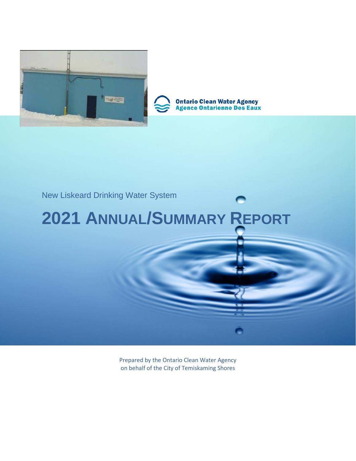



**Ontario Clean Water Agency<br>Agence Ontarienne Des Eaux** 

# New Liskeard Drinking Water System

# **2021 ANNUAL/SUMMARY REPORT**

Prepared by the Ontario Clean Water Agency on behalf of the City of Temiskaming Shores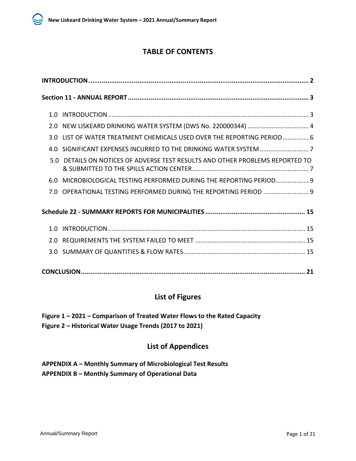# **TABLE OF CONTENTS**

|     | 2.0 NEW LISKEARD DRINKING WATER SYSTEM (DWS No. 220000344)  4                 |
|-----|-------------------------------------------------------------------------------|
|     | 3.0 LIST OF WATER TREATMENT CHEMICALS USED OVER THE REPORTING PERIOD 6        |
|     | 4.0 SIGNIFICANT EXPENSES INCURRED TO THE DRINKING WATER SYSTEM 7              |
|     | 5.0 DETAILS ON NOTICES OF ADVERSE TEST RESULTS AND OTHER PROBLEMS REPORTED TO |
| 6.0 | MICROBIOLOGICAL TESTING PERFORMED DURING THE REPORTING PERIOD 9               |
|     | 7.0 OPERATIONAL TESTING PERFORMED DURING THE REPORTING PERIOD  9              |
|     |                                                                               |
| 1 በ |                                                                               |
| 2.0 |                                                                               |
|     |                                                                               |
|     |                                                                               |

# **List of Figures**

**Figure 1 – 2021 – Comparison of Treated Water Flows to the Rated Capacity Figure 2 – Historical Water Usage Trends (2017 to 2021)**

# **List of Appendices**

**APPENDIX A – Monthly Summary of Microbiological Test Results APPENDIX B – Monthly Summary of Operational Data**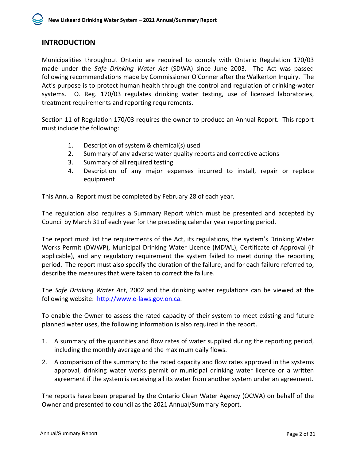# <span id="page-2-0"></span>**INTRODUCTION**

Municipalities throughout Ontario are required to comply with Ontario Regulation 170/03 made under the *Safe Drinking Water Act* (SDWA) since June 2003. The Act was passed following recommendations made by Commissioner O'Conner after the Walkerton Inquiry. The Act's purpose is to protect human health through the control and regulation of drinking-water systems. O. Reg. 170/03 regulates drinking water testing, use of licensed laboratories, treatment requirements and reporting requirements.

Section 11 of Regulation 170/03 requires the owner to produce an Annual Report. This report must include the following:

- 1. Description of system & chemical(s) used
- 2. Summary of any adverse water quality reports and corrective actions
- 3. Summary of all required testing
- 4. Description of any major expenses incurred to install, repair or replace equipment

This Annual Report must be completed by February 28 of each year.

The regulation also requires a Summary Report which must be presented and accepted by Council by March 31 of each year for the preceding calendar year reporting period.

The report must list the requirements of the Act, its regulations, the system's Drinking Water Works Permit (DWWP), Municipal Drinking Water Licence (MDWL), Certificate of Approval (if applicable), and any regulatory requirement the system failed to meet during the reporting period. The report must also specify the duration of the failure, and for each failure referred to, describe the measures that were taken to correct the failure.

The *Safe Drinking Water Act*, 2002 and the drinking water regulations can be viewed at the following website: [http://www.e-laws.gov.on.ca.](http://www.e-laws.gov.on.ca/)

To enable the Owner to assess the rated capacity of their system to meet existing and future planned water uses, the following information is also required in the report.

- 1. A summary of the quantities and flow rates of water supplied during the reporting period, including the monthly average and the maximum daily flows.
- 2. A comparison of the summary to the rated capacity and flow rates approved in the systems approval, drinking water works permit or municipal drinking water licence or a written agreement if the system is receiving all its water from another system under an agreement.

The reports have been prepared by the Ontario Clean Water Agency (OCWA) on behalf of the Owner and presented to council as the 2021 Annual/Summary Report.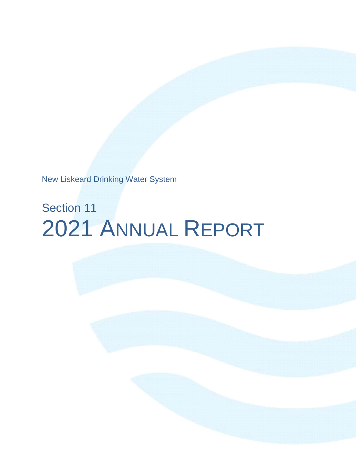New Liskeard Drinking Water System

# Section 11 2021 ANNUAL REPORT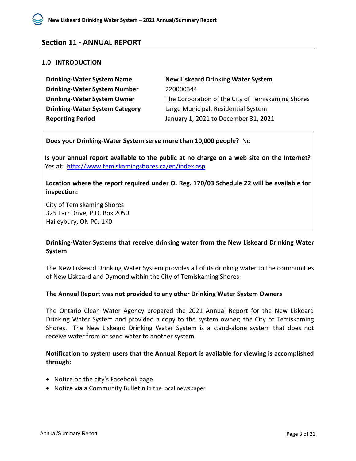# <span id="page-4-0"></span>**Section 11 - ANNUAL REPORT**

#### <span id="page-4-1"></span>**1.0 INTRODUCTION**

| <b>Drinking-Water System Name</b>     | <b>New Liskeard Drinking Water System</b>         |
|---------------------------------------|---------------------------------------------------|
| <b>Drinking-Water System Number</b>   | 220000344                                         |
| <b>Drinking-Water System Owner</b>    | The Corporation of the City of Temiskaming Shores |
| <b>Drinking-Water System Category</b> | Large Municipal, Residential System               |
| <b>Reporting Period</b>               | January 1, 2021 to December 31, 2021              |

#### **Does your Drinking-Water System serve more than 10,000 people?** No

**Is your annual report available to the public at no charge on a web site on the Internet?**  Yes at: <http://www.temiskamingshores.ca/en/index.asp>

**Location where the report required under O. Reg. 170/03 Schedule 22 will be available for inspection:**

City of Temiskaming Shores 325 Farr Drive, P.O. Box 2050 Haileybury, ON P0J 1K0

# **Drinking-Water Systems that receive drinking water from the New Liskeard Drinking Water System**

The New Liskeard Drinking Water System provides all of its drinking water to the communities of New Liskeard and Dymond within the City of Temiskaming Shores.

#### **The Annual Report was not provided to any other Drinking Water System Owners**

The Ontario Clean Water Agency prepared the 2021 Annual Report for the New Liskeard Drinking Water System and provided a copy to the system owner; the City of Temiskaming Shores. The New Liskeard Drinking Water System is a stand-alone system that does not receive water from or send water to another system.

# **Notification to system users that the Annual Report is available for viewing is accomplished through:**

- Notice on the city's Facebook page
- Notice via a Community Bulletin in the local newspaper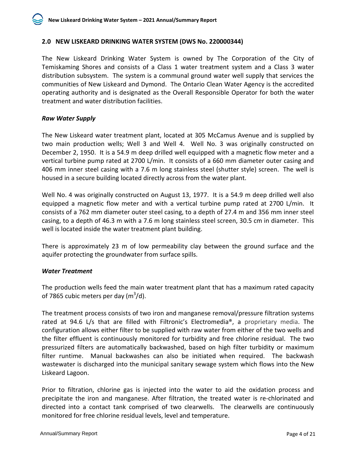### <span id="page-5-0"></span>**2.0 NEW LISKEARD DRINKING WATER SYSTEM (DWS No. 220000344)**

The New Liskeard Drinking Water System is owned by The Corporation of the City of Temiskaming Shores and consists of a Class 1 water treatment system and a Class 3 water distribution subsystem. The system is a communal ground water well supply that services the communities of New Liskeard and Dymond. The Ontario Clean Water Agency is the accredited operating authority and is designated as the Overall Responsible Operator for both the water treatment and water distribution facilities.

#### *Raw Water Supply*

The New Liskeard water treatment plant, located at 305 McCamus Avenue and is supplied by two main production wells; Well 3 and Well 4. Well No. 3 was originally constructed on December 2, 1950. It is a 54.9 m deep drilled well equipped with a magnetic flow meter and a vertical turbine pump rated at 2700 L/min. It consists of a 660 mm diameter outer casing and 406 mm inner steel casing with a 7.6 m long stainless steel (shutter style) screen. The well is housed in a secure building located directly across from the water plant.

Well No. 4 was originally constructed on August 13, 1977. It is a 54.9 m deep drilled well also equipped a magnetic flow meter and with a vertical turbine pump rated at 2700 L/min. It consists of a 762 mm diameter outer steel casing, to a depth of 27.4 m and 356 mm inner steel casing, to a depth of 46.3 m with a 7.6 m long stainless steel screen, 30.5 cm in diameter. This well is located inside the water treatment plant building.

There is approximately 23 m of low permeability clay between the ground surface and the aquifer protecting the groundwater from surface spills.

#### *Water Treatment*

The production wells feed the main water treatment plant that has a maximum rated capacity of 7865 cubic meters per day (m $3$ /d).

The treatment process consists of two iron and manganese removal/pressure filtration systems rated at 94.6 L/s that are filled with Filtronic's Electromedia®, a proprietary media. The configuration allows either filter to be supplied with raw water from either of the two wells and the filter effluent is continuously monitored for turbidity and free chlorine residual. The two pressurized filters are automatically backwashed, based on high filter turbidity or maximum filter runtime. Manual backwashes can also be initiated when required. The backwash wastewater is discharged into the municipal sanitary sewage system which flows into the New Liskeard Lagoon.

Prior to filtration, chlorine gas is injected into the water to aid the oxidation process and precipitate the iron and manganese. After filtration, the treated water is re-chlorinated and directed into a contact tank comprised of two clearwells. The clearwells are continuously monitored for free chlorine residual levels, level and temperature.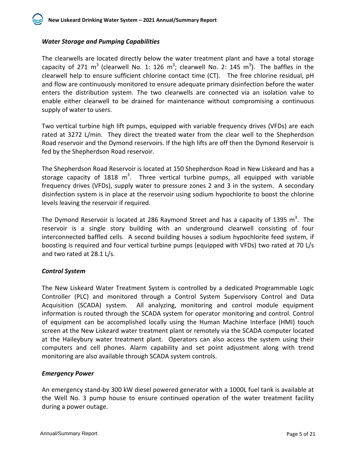

# *Water Storage and Pumping Capabilities*

The clearwells are located directly below the water treatment plant and have a total storage capacity of 271 m<sup>3</sup> (clearwell No. 1: 126 m<sup>3</sup>; clearwell No. 2: 145 m<sup>3</sup>). The baffles in the clearwell help to ensure sufficient chlorine contact time (CT). The free chlorine residual, pH and flow are continuously monitored to ensure adequate primary disinfection before the water enters the distribution system. The two clearwells are connected via an isolation valve to enable either clearwell to be drained for maintenance without compromising a continuous supply of water to users.

Two vertical turbine high lift pumps, equipped with variable frequency drives (VFDs) are each rated at 3272 L/min. They direct the treated water from the clear well to the Shepherdson Road reservoir and the Dymond reservoirs. If the high lifts are off then the Dymond Reservoir is fed by the Shepherdson Road reservoir.

The Shepherdson Road Reservoir is located at 150 Shepherdson Road in New Liskeard and has a storage capacity of 1818 m<sup>3</sup>. Three vertical turbine pumps, all equipped with variable frequency drives (VFDs), supply water to pressure zones 2 and 3 in the system. A secondary disinfection system is in place at the reservoir using sodium hypochlorite to boost the chlorine levels leaving the reservoir if required.

The Dymond Reservoir is located at 286 Raymond Street and has a capacity of 1395  $m^3$ . The reservoir is a single story building with an underground clearwell consisting of four interconnected baffled cells. A second building houses a sodium hypochlorite feed system, if boosting is required and four vertical turbine pumps (equipped with VFDs) two rated at 70 L/s and two rated at 28.1 L/s.

# *Control System*

The New Liskeard Water Treatment System is controlled by a dedicated Programmable Logic Controller (PLC) and monitored through a Control System Supervisory Control and Data Acquisition (SCADA) system. All analyzing, monitoring and control module equipment information is routed through the SCADA system for operator monitoring and control. Control of equipment can be accomplished locally using the Human Machine Interface (HMI) touch screen at the New Liskeard water treatment plant or remotely via the SCADA computer located at the Haileybury water treatment plant. Operators can also access the system using their computers and cell phones. Alarm capability and set point adjustment along with trend monitoring are also available through SCADA system controls.

# *Emergency Power*

An emergency stand-by 300 kW diesel powered generator with a 1000L fuel tank is available at the Well No. 3 pump house to ensure continued operation of the water treatment facility during a power outage.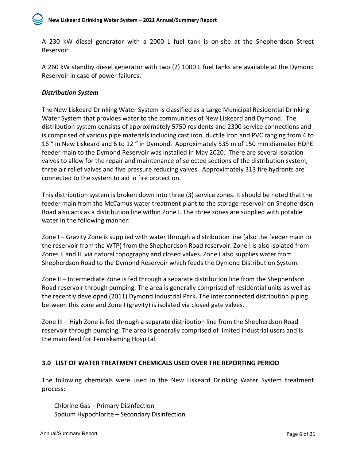A 230 kW diesel generator with a 2000 L fuel tank is on-site at the Shepherdson Street Reservoir

A 260 kW standby diesel generator with two (2) 1000 L fuel tanks are available at the Dymond Reservoir in case of power failures.

# *Distribution System*

The New Liskeard Drinking Water System is classified as a Large Municipal Residential Drinking Water System that provides water to the communities of New Liskeard and Dymond. The distribution system consists of approximately 5750 residents and 2300 service connections and is comprised of various pipe materials including cast iron, ductile iron and PVC ranging from 4 to 16 " in New Liskeard and 6 to 12 " in Dymond. Approximately 535 m of 150 mm diameter HDPE feeder main to the Dymond Reservoir was installed in May 2020. There are several isolation valves to allow for the repair and maintenance of selected sections of the distribution system, three air relief valves and five pressure reducing valves. Approximately 313 fire hydrants are connected to the system to aid in fire protection.

This distribution system is broken down into three (3) service zones. It should be noted that the feeder main from the McCamus water treatment plant to the storage reservoir on Shepherdson Road also acts as a distribution line within Zone I. The three zones are supplied with potable water in the following manner:

Zone I – Gravity Zone is supplied with water through a distribution line (also the feeder main to the reservoir from the WTP) from the Shepherdson Road reservoir. Zone I is also isolated from Zones II and III via natural topography and closed valves. Zone I also supplies water from Shepherdson Road to the Dymond Reservoir which feeds the Dymond Distribution System.

Zone II – Intermediate Zone is fed through a separate distribution line from the Shepherdson Road reservoir through pumping. The area is generally comprised of residential units as well as the recently developed (2011) Dymond Industrial Park. The interconnected distribution piping between this zone and Zone I (gravity) is isolated via closed gate valves.

Zone III – High Zone is fed through a separate distribution line from the Shepherdson Road reservoir through pumping. The area is generally comprised of limited industrial users and is the main feed for Temiskaming Hospital.

# <span id="page-7-0"></span>**3.0 LIST OF WATER TREATMENT CHEMICALS USED OVER THE REPORTING PERIOD**

The following chemicals were used in the New Liskeard Drinking Water System treatment process:

Chlorine Gas – Primary Disinfection Sodium Hypochlorite – Secondary Disinfection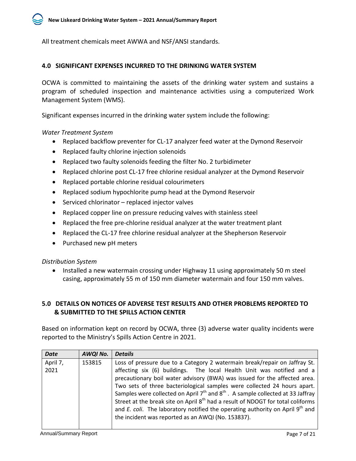All treatment chemicals meet AWWA and NSF/ANSI standards.

#### <span id="page-8-0"></span>**4.0 SIGNIFICANT EXPENSES INCURRED TO THE DRINKING WATER SYSTEM**

OCWA is committed to maintaining the assets of the drinking water system and sustains a program of scheduled inspection and maintenance activities using a computerized Work Management System (WMS).

Significant expenses incurred in the drinking water system include the following:

*Water Treatment System*

- Replaced backflow preventer for CL-17 analyzer feed water at the Dymond Reservoir
- Replaced faulty chlorine injection solenoids
- Replaced two faulty solenoids feeding the filter No. 2 turbidimeter
- Replaced chlorine post CL-17 free chlorine residual analyzer at the Dymond Reservoir
- Replaced portable chlorine residual colourimeters
- Replaced sodium hypochlorite pump head at the Dymond Reservoir
- Serviced chlorinator replaced injector valves
- Replaced copper line on pressure reducing valves with stainless steel
- Replaced the free pre-chlorine residual analyzer at the water treatment plant
- Replaced the CL-17 free chlorine residual analyzer at the Shepherson Reservoir
- Purchased new pH meters

*Distribution System*

• Installed a new watermain crossing under Highway 11 using approximately 50 m steel casing, approximately 55 m of 150 mm diameter watermain and four 150 mm valves.

# <span id="page-8-1"></span>**5.0 DETAILS ON NOTICES OF ADVERSE TEST RESULTS AND OTHER PROBLEMS REPORTED TO & SUBMITTED TO THE SPILLS ACTION CENTER**

Based on information kept on record by OCWA, three (3) adverse water quality incidents were reported to the Ministry's Spills Action Centre in 2021.

| <b>Date</b> | AWQI No. | <b>Details</b>                                                                              |
|-------------|----------|---------------------------------------------------------------------------------------------|
| April 7,    | 153815   | Loss of pressure due to a Category 2 watermain break/repair on Jaffray St.                  |
| 2021        |          | affecting six (6) buildings. The local Health Unit was notified and a                       |
|             |          | precautionary boil water advisory (BWA) was issued for the affected area.                   |
|             |          | Two sets of three bacteriological samples were collected 24 hours apart.                    |
|             |          | Samples were collected on April $7th$ and $8th$ . A sample collected at 33 Jaffray          |
|             |          | Street at the break site on April 8 <sup>th</sup> had a result of NDOGT for total coliforms |
|             |          | and E. coli. The laboratory notified the operating authority on April $9th$ and             |
|             |          | the incident was reported as an AWQI (No. 153837).                                          |
|             |          |                                                                                             |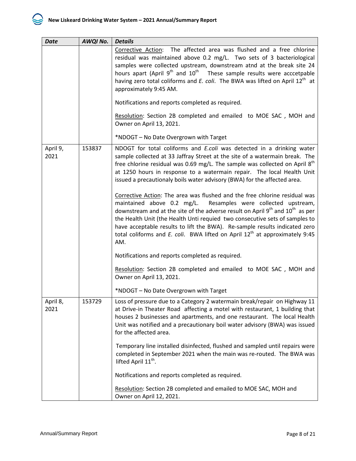| <b>Date</b>      | AWQI No. | <b>Details</b>                                                                                                                                                                                                                                                                                                                                                                                                                                                                                                                                                                                                                                                                                                                                                                                                                                                                                 |
|------------------|----------|------------------------------------------------------------------------------------------------------------------------------------------------------------------------------------------------------------------------------------------------------------------------------------------------------------------------------------------------------------------------------------------------------------------------------------------------------------------------------------------------------------------------------------------------------------------------------------------------------------------------------------------------------------------------------------------------------------------------------------------------------------------------------------------------------------------------------------------------------------------------------------------------|
|                  |          | Corrective Action: The affected area was flushed and a free chlorine<br>residual was maintained above 0.2 mg/L. Two sets of 3 bacteriological<br>samples were collected upstream, downstream atnd at the break site 24<br>hours apart (April 9 <sup>th</sup> and 10 <sup>th</sup> These sample results were acccetpable<br>having zero total coliforms and E. coli. The BWA was lifted on April 12 <sup>th</sup> at<br>approximately 9:45 AM.                                                                                                                                                                                                                                                                                                                                                                                                                                                  |
|                  |          | Notifications and reports completed as required.                                                                                                                                                                                                                                                                                                                                                                                                                                                                                                                                                                                                                                                                                                                                                                                                                                               |
|                  |          | Resolution: Section 2B completed and emailed to MOE SAC, MOH and<br>Owner on April 13, 2021.                                                                                                                                                                                                                                                                                                                                                                                                                                                                                                                                                                                                                                                                                                                                                                                                   |
|                  |          | *NDOGT - No Date Overgrown with Target                                                                                                                                                                                                                                                                                                                                                                                                                                                                                                                                                                                                                                                                                                                                                                                                                                                         |
| April 9,<br>2021 | 153837   | NDOGT for total coliforms and E.coli was detected in a drinking water<br>sample collected at 33 Jaffray Street at the site of a watermain break. The<br>free chlorine residual was 0.69 mg/L. The sample was collected on April 8 <sup>th</sup><br>at 1250 hours in response to a watermain repair. The local Health Unit<br>issued a precautionaly boils water advisory (BWA) for the affected area.<br>Corrective Action: The area was flushed and the free chlorine residual was<br>maintained above 0.2 mg/L. Resamples were collected upstream,<br>downstream and at the site of the adverse result on April $9th$ and $10th$ as per<br>the Health Unit (the Health Unti requied two consecutive sets of samples to<br>have acceptable results to lift the BWA). Re-sample results indicated zero<br>total coliforms and E. coli. BWA lifted on April $12th$ at approximately 9:45<br>AM. |
|                  |          | Notifications and reports completed as required.                                                                                                                                                                                                                                                                                                                                                                                                                                                                                                                                                                                                                                                                                                                                                                                                                                               |
|                  |          | Resolution: Section 2B completed and emailed to MOE SAC, MOH and<br>Owner on April 13, 2021.                                                                                                                                                                                                                                                                                                                                                                                                                                                                                                                                                                                                                                                                                                                                                                                                   |
|                  |          | *NDOGT - No Date Overgrown with Target                                                                                                                                                                                                                                                                                                                                                                                                                                                                                                                                                                                                                                                                                                                                                                                                                                                         |
| April 8,<br>2021 | 153729   | Loss of pressure due to a Category 2 watermain break/repair on Highway 11<br>at Drive-in Theater Road affecting a motel with restaurant, 1 building that<br>houses 2 businesses and apartments, and one restaurant. The local Health<br>Unit was notified and a precautionary boil water advisory (BWA) was issued<br>for the affected area.                                                                                                                                                                                                                                                                                                                                                                                                                                                                                                                                                   |
|                  |          | Temporary line installed disinfected, flushed and sampled until repairs were<br>completed in September 2021 when the main was re-routed. The BWA was<br>lifted April 11 <sup>th</sup> .                                                                                                                                                                                                                                                                                                                                                                                                                                                                                                                                                                                                                                                                                                        |
|                  |          | Notifications and reports completed as required.                                                                                                                                                                                                                                                                                                                                                                                                                                                                                                                                                                                                                                                                                                                                                                                                                                               |
|                  |          | Resolution: Section 2B completed and emailed to MOE SAC, MOH and<br>Owner on April 12, 2021.                                                                                                                                                                                                                                                                                                                                                                                                                                                                                                                                                                                                                                                                                                                                                                                                   |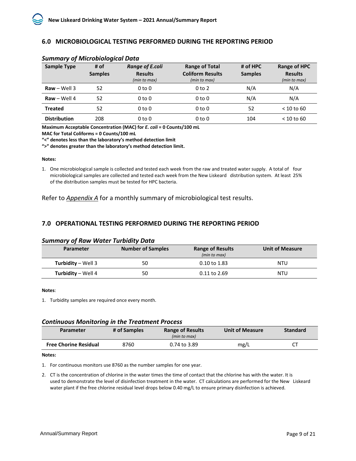#### <span id="page-10-0"></span>**6.0 MICROBIOLOGICAL TESTING PERFORMED DURING THE REPORTING PERIOD**

| <b>Sample Type</b>               | # of<br><b>Samples</b> | <b>Range of E.coli</b><br><b>Results</b> | <b>Range of Total</b><br><b>Coliform Results</b> | # of HPC<br><b>Samples</b> | Range of HPC<br><b>Results</b> |
|----------------------------------|------------------------|------------------------------------------|--------------------------------------------------|----------------------------|--------------------------------|
|                                  |                        | (min to max)                             | (min to max)                                     |                            | (min to max)                   |
| $\mathbf{Raw} - \mathbf{Well} 3$ | 52                     | 0 to 0                                   | 0 <sub>to</sub> 2                                | N/A                        | N/A                            |
| $\mathsf{Raw} - \mathsf{Well}$ 4 | 52                     | 0 to 0                                   | $0$ to $0$                                       | N/A                        | N/A                            |
| <b>Treated</b>                   | 52                     | 0 to 0                                   | $0$ to $0$                                       | 52                         | $<$ 10 to 60                   |
| <b>Distribution</b>              | 208                    | 0 to 0                                   | $0$ to $0$                                       | 104                        | $<$ 10 to 60                   |

#### *Summary of Microbiological Data*

**Maximum Acceptable Concentration (MAC) for** *E. coli* **= 0 Counts/100 mL**

**MAC for Total Coliforms = 0 Counts/100 mL**

**"<" denotes less than the laboratory's method detection limit**

**">" denotes greater than the laboratory's method detection limit.**

#### **Notes:**

1. One microbiological sample is collected and tested each week from the raw and treated water supply. A total of four microbiological samples are collected and tested each week from the New Liskeard distribution system. At least 25% of the distribution samples must be tested for HPC bacteria.

Refer to *Appendix A* for a monthly summary of microbiological test results.

#### <span id="page-10-1"></span>**7.0 OPERATIONAL TESTING PERFORMED DURING THE REPORTING PERIOD**

#### *Summary of Raw Water Turbidity Data*

| <b>Parameter</b>          | <b>Number of Samples</b> | <b>Range of Results</b><br>(min to max) | <b>Unit of Measure</b> |
|---------------------------|--------------------------|-----------------------------------------|------------------------|
| <b>Turbidity – Well 3</b> | 50                       | 0.10 to 1.83                            | NTU                    |
| <b>Turbidity – Well 4</b> | 50                       | 0.11 to 2.69                            | <b>NTU</b>             |

#### **Notes**:

1. Turbidity samples are required once every month.

#### *Continuous Monitoring in the Treatment Process*

| Parameter                    | # of Samples | <b>Range of Results</b><br>(min to max) | <b>Unit of Measure</b> | <b>Standard</b> |
|------------------------------|--------------|-----------------------------------------|------------------------|-----------------|
| <b>Free Chorine Residual</b> | 8760         | 0.74 to 3.89                            | mg/L                   |                 |

#### **Notes:**

1. For continuous monitors use 8760 as the number samples for one year.

2. CT is the concentration of chlorine in the water times the time of contact that the chlorine has with the water. It is used to demonstrate the level of disinfection treatment in the water. CT calculations are performed for the New Liskeard water plant if the free chlorine residual level drops below 0.40 mg/L to ensure primary disinfection is achieved.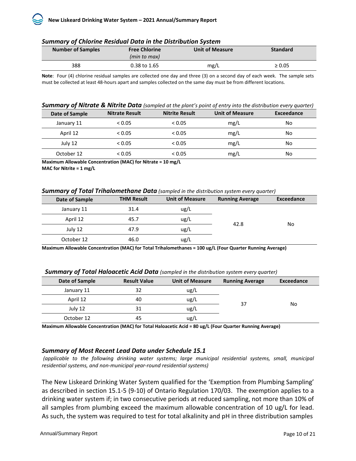|  |   |  |  |         | <b>Summary of Chlorine Residual Data in the Distribution System</b> |  |
|--|---|--|--|---------|---------------------------------------------------------------------|--|
|  | . |  |  | - - - - | .                                                                   |  |

| <b>Number of Samples</b> | <b>Free Chlorine</b><br>(min to max) | <b>Unit of Measure</b> | <b>Standard</b> |
|--------------------------|--------------------------------------|------------------------|-----------------|
| 388                      | 0.38 to 1.65                         | mg/L                   | $\geq 0.05$     |

**Note**: Four (4) chlorine residual samples are collected one day and three (3) on a second day of each week. The sample sets must be collected at least 48-hours apart and samples collected on the same day must be from different locations.

#### *Summary of Nitrate & Nitrite Data (sampled at the plant's point of entry into the distribution every quarter)*

| Date of Sample | <b>Nitrate Result</b> | <b>Nitrite Result</b> | <b>Unit of Measure</b> | Exceedance |
|----------------|-----------------------|-----------------------|------------------------|------------|
| January 11     | < 0.05                | < 0.05                | mg/L                   | No         |
| April 12       | < 0.05                | < 0.05                | mg/L                   | No         |
| July 12        | < 0.05                | < 0.05                | mg/L                   | No         |
| October 12     | < 0.05                | < 0.05                | mg/L                   | No         |

**Maximum Allowable Concentration (MAC) for Nitrate = 10 mg/L MAC for Nitrite = 1 mg/L**

#### *Summary of Total Trihalomethane Data (sampled in the distribution system every quarter)*

| <b>THM Result</b><br><b>Unit of Measure</b> | <b>Running Average</b> | Exceedance |
|---------------------------------------------|------------------------|------------|
| ug/L                                        |                        |            |
| ug/L                                        |                        | No         |
| ug/L                                        |                        |            |
| ug/L                                        |                        |            |
|                                             |                        | 42.8       |

**Maximum Allowable Concentration (MAC) for Total Trihalomethanes = 100 ug/L (Four Quarter Running Average)**

| Date of Sample | <b>Result Value</b> | <b>Unit of Measure</b> | <b>Running Average</b> | Exceedance |
|----------------|---------------------|------------------------|------------------------|------------|
| January 11     | 32                  | ug/L                   |                        |            |
| April 12       | 40                  | ug/L                   | 37                     |            |
| July 12        | 31                  | ug/L                   |                        | No         |
| October 12     | 45                  | ug/L                   |                        |            |

**Maximum Allowable Concentration (MAC) for Total Haloacetic Acid = 80 ug/L (Four Quarter Running Average)**

# *Summary of Most Recent Lead Data under Schedule 15.1*

*(applicable to the following drinking water systems; large municipal residential systems, small, municipal residential systems, and non-municipal year-round residential systems)* 

The New Liskeard Drinking Water System qualified for the 'Exemption from Plumbing Sampling' as described in section 15.1-5 (9-10) of Ontario Regulation 170/03. The exemption applies to a drinking water system if; in two consecutive periods at reduced sampling, not more than 10% of all samples from plumbing exceed the maximum allowable concentration of 10 ug/L for lead. As such, the system was required to test for total alkalinity and pH in three distribution samples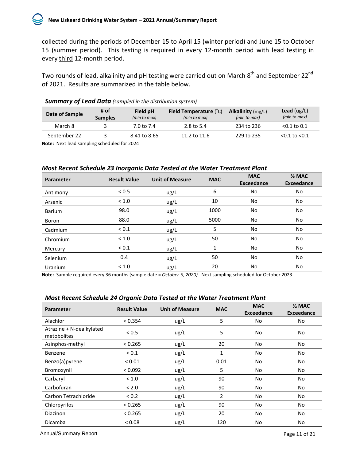collected during the periods of December 15 to April 15 (winter period) and June 15 to October 15 (summer period). This testing is required in every 12-month period with lead testing in every third 12-month period.

Two rounds of lead, alkalinity and pH testing were carried out on March 8<sup>th</sup> and September 22<sup>nd</sup> of 2021. Results are summarized in the table below.

| Date of Sample | # of<br><b>Samples</b> | Field pH<br>(min to max) | <b>Field Temperature</b> $(^{\circ}C)$<br>(min to max) | <b>Alkalinity</b> (mg/L)<br>(min to max) | <b>Lead</b> ( $\log/L$ )<br>(min to max) |
|----------------|------------------------|--------------------------|--------------------------------------------------------|------------------------------------------|------------------------------------------|
| March 8        |                        | 7.0 to 7.4               | 2.8 to 5.4                                             | 234 to 236                               | $< 0.1$ to 0.1                           |
| September 22   |                        | 8.41 to 8.65             | 11.2 to 11.6                                           | 229 to 235                               | $< 0.1$ to $< 0.1$                       |

#### *Summary of Lead Data (sampled in the distribution system)*

**Note:** Next lead sampling scheduled for 2024

#### *Most Recent Schedule 23 Inorganic Data Tested at the Water Treatment Plant*

| <b>Parameter</b> | <b>Result Value</b> | <b>Unit of Measure</b> | <b>MAC</b> | <b>MAC</b><br><b>Exceedance</b> | $\frac{1}{2}$ MAC<br><b>Exceedance</b> |
|------------------|---------------------|------------------------|------------|---------------------------------|----------------------------------------|
| Antimony         | < 0.5               | ug/L                   | 6          | No                              | No                                     |
| Arsenic          | < 1.0               | ug/L                   | 10         | No                              | No                                     |
| <b>Barium</b>    | 98.0                | ug/L                   | 1000       | No                              | No                                     |
| Boron            | 88.0                | ug/L                   | 5000       | No                              | No                                     |
| Cadmium          | ${}_{0.1}$          | ug/L                   | 5          | No                              | No                                     |
| Chromium         | < 1.0               | ug/L                   | 50         | <b>No</b>                       | No                                     |
| Mercury          | ${}_{0.1}$          | ug/L                   | 1          | No                              | No                                     |
| Selenium         | 0.4                 | ug/L                   | 50         | <b>No</b>                       | No                                     |
| <b>Uranium</b>   | < 1.0               | ug/L                   | 20         | No                              | No                                     |

**Note:** Sample required every 36 months (sample date = *October 5, 2020).* Next sampling scheduled for October 2023

| <b>Parameter</b>                        | <b>Result Value</b> | <b>Unit of Measure</b> | <b>MAC</b> | <b>MAC</b><br><b>Exceedance</b> | $\frac{1}{2}$ MAC<br><b>Exceedance</b> |
|-----------------------------------------|---------------------|------------------------|------------|---------------------------------|----------------------------------------|
| Alachlor                                | < 0.354             | ug/L                   | 5          | <b>No</b>                       | No                                     |
| Atrazine + N-dealkylated<br>metobolites | < 0.5               | ug/L                   | 5          | No                              | No                                     |
| Azinphos-methyl                         | < 0.265             | ug/L                   | 20         | <b>No</b>                       | No                                     |
| Benzene                                 | ${}_{0.1}$          | ug/L                   | 1          | No                              | No                                     |
| Benzo(a)pyrene                          | ${}_{0.01}$         | ug/L                   | 0.01       | No                              | No                                     |
| Bromoxynil                              | < 0.092             | ug/L                   | 5          | No                              | No                                     |
| Carbaryl                                | < 1.0               | ug/L                   | 90         | No                              | No                                     |
| Carbofuran                              | < 2.0               | ug/L                   | 90         | <b>No</b>                       | No                                     |
| Carbon Tetrachloride                    | < 0.2               | ug/L                   | 2          | <b>No</b>                       | No                                     |
| Chlorpyrifos                            | < 0.265             | ug/L                   | 90         | <b>No</b>                       | No                                     |
| <b>Diazinon</b>                         | < 0.265             | ug/L                   | 20         | No                              | No                                     |
| Dicamba                                 | < 0.08              | ug/L                   | 120        | No                              | No                                     |

# *Most Recent Schedule 24 Organic Data Tested at the Water Treatment Plant*

Annual/Summary Report **Page 11 of 21**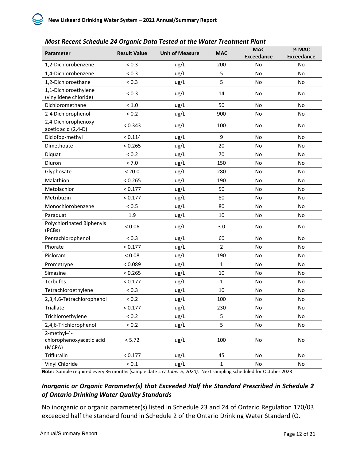| Parameter                                         | <b>Result Value</b> | <b>Unit of Measure</b> | <b>MAC</b>     | <b>MAC</b><br><b>Exceedance</b> | $\frac{1}{2}$ MAC<br><b>Exceedance</b> |
|---------------------------------------------------|---------------------|------------------------|----------------|---------------------------------|----------------------------------------|
| 1,2-Dichlorobenzene                               | < 0.3               | ug/L                   | 200            | No                              | No                                     |
| 1,4-Dichlorobenzene                               | ${}_{0.3}$          | ug/L                   | 5              | No                              | No                                     |
| 1,2-Dichloroethane                                | < 0.3               | ug/L                   | 5              | No                              | No                                     |
| 1,1-Dichloroethylene<br>(vinylidene chloride)     | ${}_{0.3}$          | ug/L                   | 14             | No                              | No                                     |
| Dichloromethane                                   | < 1.0               | ug/L                   | 50             | No                              | No                                     |
| 2-4 Dichlorophenol                                | < 0.2               | ug/L                   | 900            | <b>No</b>                       | No                                     |
| 2,4-Dichlorophenoxy<br>acetic acid (2,4-D)        | < 0.343             | ug/L                   | 100            | No                              | No                                     |
| Diclofop-methyl                                   | < 0.114             | ug/L                   | 9              | No                              | No                                     |
| Dimethoate                                        | < 0.265             | ug/L                   | 20             | No                              | No                                     |
| Diquat                                            | < 0.2               | ug/L                   | 70             | No                              | No                                     |
| Diuron                                            | < 7.0               | ug/L                   | 150            | No                              | No                                     |
| Glyphosate                                        | < 20.0              | ug/L                   | 280            | No                              | No                                     |
| Malathion                                         | < 0.265             | ug/L                   | 190            | No                              | No                                     |
| Metolachlor                                       | < 0.177             | ug/L                   | 50             | No                              | No                                     |
| Metribuzin                                        | < 0.177             | ug/L                   | 80             | <b>No</b>                       | No                                     |
| Monochlorobenzene                                 | < 0.5               | ug/L                   | 80             | No                              | No                                     |
| Paraquat                                          | 1.9                 | ug/L                   | 10             | <b>No</b>                       | <b>No</b>                              |
| Polychlorinated Biphenyls<br>(PCBs)               | < 0.06              | ug/L                   | 3.0            | No                              | No                                     |
| Pentachlorophenol                                 | < 0.3               | ug/L                   | 60             | No                              | No                                     |
| Phorate                                           | < 0.177             | ug/L                   | $\overline{2}$ | No                              | No                                     |
| Picloram                                          | < 0.08              | ug/L                   | 190            | No                              | No                                     |
| Prometryne                                        | < 0.089             | ug/L                   | $\mathbf{1}$   | No                              | No                                     |
| Simazine                                          | < 0.265             | ug/L                   | 10             | No                              | No                                     |
| Terbufos                                          | < 0.177             | ug/L                   | $\mathbf{1}$   | No                              | <b>No</b>                              |
| Tetrachloroethylene                               | ${}_{0.3}$          | ug/L                   | 10             | No                              | No                                     |
| 2,3,4,6-Tetrachlorophenol                         | ${}_{0.2}$          | ug/L                   | 100            | No                              | No                                     |
| Triallate                                         | < 0.177             | ug/L                   | 230            | No.                             | No                                     |
| Trichloroethylene                                 | < 0.2               | ug/L                   | 5              | No                              | No                                     |
| 2,4,6-Trichlorophenol                             | < 0.2               | ug/L                   | 5              | No                              | No                                     |
| 2-methyl-4-<br>chlorophenoxyacetic acid<br>(MCPA) | < 5.72              | ug/L                   | 100            | No                              | No                                     |
| Trifluralin                                       | < 0.177             | ug/L                   | 45             | No                              | No                                     |
| Vinyl Chloride                                    | $< 0.1\,$           | ug/L                   | $\mathbf 1$    | No                              | No                                     |

**Note:** Sample required every 36 months (sample date = *October 5, 2020).* Next sampling scheduled for October 2023

# *Inorganic or Organic Parameter(s) that Exceeded Half the Standard Prescribed in Schedule 2 of Ontario Drinking Water Quality Standards*

No inorganic or organic parameter(s) listed in Schedule 23 and 24 of Ontario Regulation 170/03 exceeded half the standard found in Schedule 2 of the Ontario Drinking Water Standard (O.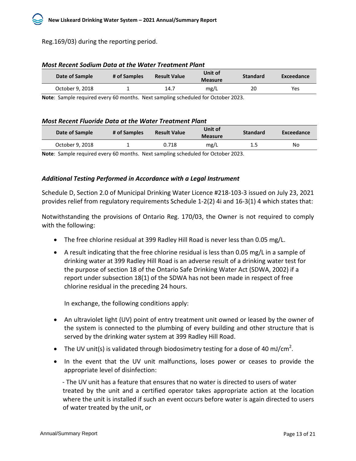# Reg.169/03) during the reporting period.

|      | <b>Measure</b> |    | Exceedance                                             |  |
|------|----------------|----|--------------------------------------------------------|--|
| 14.7 | mg/L           | 20 | <b>Yes</b>                                             |  |
|      |                |    | <b>Result Value</b><br># of Samples<br><b>Standard</b> |  |

#### *Most Recent Sodium Data at the Water Treatment Plant*

**Note**: Sample required every 60 months. Next sampling scheduled for October 2023.

#### *Most Recent Fluoride Data at the Water Treatment Plant*

| Date of Sample                                                                  | # of Samples | Unit of<br><b>Result Value</b><br><b>Measure</b> |      | <b>Standard</b> | Exceedance |
|---------------------------------------------------------------------------------|--------------|--------------------------------------------------|------|-----------------|------------|
| October 9, 2018                                                                 |              | 0.718                                            | mg/L | 1.5             | No         |
| Nete: Cample required over CO menths. Next campling schooluled for October 2022 |              |                                                  |      |                 |            |

**Note**: Sample required every 60 months. Next sampling scheduled for October 2023.

#### *Additional Testing Performed in Accordance with a Legal Instrument*

Schedule D, Section 2.0 of Municipal Drinking Water Licence #218-103-3 issued on July 23, 2021 provides relief from regulatory requirements Schedule 1-2(2) 4i and 16-3(1) 4 which states that:

Notwithstanding the provisions of Ontario Reg. 170/03, the Owner is not required to comply with the following:

- The free chlorine residual at 399 Radley Hill Road is never less than 0.05 mg/L.
- A result indicating that the free chlorine residual is less than 0.05 mg/L in a sample of drinking water at 399 Radley Hill Road is an adverse result of a drinking water test for the purpose of section 18 of the Ontario Safe Drinking Water Act (SDWA, 2002) if a report under subsection 18(1) of the SDWA has not been made in respect of free chlorine residual in the preceding 24 hours.

In exchange, the following conditions apply:

- An ultraviolet light (UV) point of entry treatment unit owned or leased by the owner of the system is connected to the plumbing of every building and other structure that is served by the drinking water system at 399 Radley Hill Road.
- The UV unit(s) is validated through biodosimetry testing for a dose of 40 mJ/cm<sup>2</sup>.
- In the event that the UV unit malfunctions, loses power or ceases to provide the appropriate level of disinfection:

- The UV unit has a feature that ensures that no water is directed to users of water treated by the unit and a certified operator takes appropriate action at the location where the unit is installed if such an event occurs before water is again directed to users of water treated by the unit, or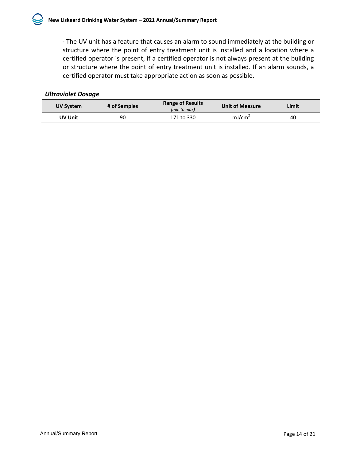- The UV unit has a feature that causes an alarm to sound immediately at the building or structure where the point of entry treatment unit is installed and a location where a certified operator is present, if a certified operator is not always present at the building or structure where the point of entry treatment unit is installed. If an alarm sounds, a certified operator must take appropriate action as soon as possible.

# *Ultraviolet Dosage*

| UV System | # of Samples | <b>Range of Results</b><br>(min to max) | <b>Unit of Measure</b> | Limit |
|-----------|--------------|-----------------------------------------|------------------------|-------|
| UV Unit   | 90           | 171 to 330                              | mJ/cm <sup>2</sup>     | 40    |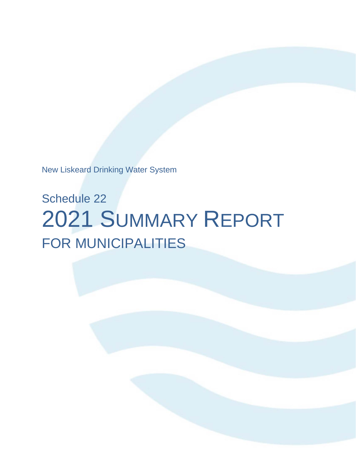New Liskeard Drinking Water System

# Schedule 22 2021 SUMMARY REPORT FOR MUNICIPALITIES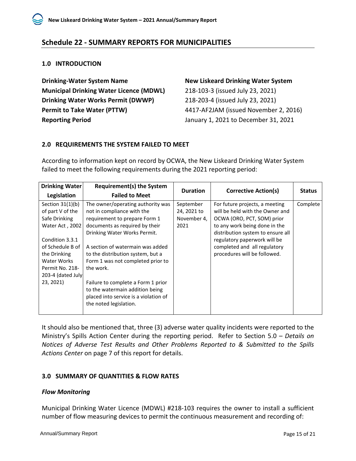# <span id="page-17-0"></span>**Schedule 22 - SUMMARY REPORTS FOR MUNICIPALITIES**

# <span id="page-17-1"></span>**1.0 INTRODUCTION**

**Drinking-Water System Name New Liskeard Drinking Water System Municipal Drinking Water Licence (MDWL)** 218-103-3 (issued July 23, 2021) **Drinking Water Works Permit (DWWP)** 218-203-4 (issued July 23, 2021) **Permit to Take Water (PTTW)** 4417-AF2JAM (issued November 2, 2016) **Reporting Period** January 1, 2021 to December 31, 2021

# <span id="page-17-2"></span>**2.0 REQUIREMENTS THE SYSTEM FAILED TO MEET**

According to information kept on record by OCWA, the New Liskeard Drinking Water System failed to meet the following requirements during the 2021 reporting period:

| Drinking Water                                                                                                    | <b>Requirement(s) the System</b>                                                                                                                                                                                                | <b>Duration</b>                                 | <b>Corrective Action(s)</b>                                                                                                                                                                                                           | <b>Status</b> |
|-------------------------------------------------------------------------------------------------------------------|---------------------------------------------------------------------------------------------------------------------------------------------------------------------------------------------------------------------------------|-------------------------------------------------|---------------------------------------------------------------------------------------------------------------------------------------------------------------------------------------------------------------------------------------|---------------|
| Legislation                                                                                                       | <b>Failed to Meet</b>                                                                                                                                                                                                           |                                                 |                                                                                                                                                                                                                                       |               |
| Section $31(1)(b)$<br>of part V of the<br>Safe Drinking<br>Water Act, 2002<br>Condition 3.3.1<br>of Schedule B of | The owner/operating authority was<br>not in compliance with the<br>requirement to prepare Form 1<br>documents as required by their<br>Drinking Water Works Permit.<br>A section of watermain was added                          | September<br>24, 2021 to<br>November 4,<br>2021 | For future projects, a meeting<br>will be held with the Owner and<br>OCWA (ORO, PCT, SOM) prior<br>to any work being done in the<br>distribution system to ensure all<br>regulatory paperwork will be<br>completed and all regulatory | Complete      |
| the Drinking<br>Water Works<br>Permit No. 218-<br>203-4 (dated July<br>23, 2021)                                  | to the distribution system, but a<br>Form 1 was not completed prior to<br>the work.<br>Failure to complete a Form 1 prior<br>to the watermain addition being<br>placed into service is a violation of<br>the noted legislation. |                                                 | procedures will be followed.                                                                                                                                                                                                          |               |

It should also be mentioned that, three (3) adverse water quality incidents were reported to the Ministry's Spills Action Center during the reporting period. Refer to Section 5.0 *– Details on Notices of Adverse Test Results and Other Problems Reported to & Submitted to the Spills Actions Center* on page 7 of this report for details.

# <span id="page-17-3"></span>**3.0 SUMMARY OF QUANTITIES & FLOW RATES**

# *Flow Monitoring*

Municipal Drinking Water Licence (MDWL) #218-103 requires the owner to install a sufficient number of flow measuring devices to permit the continuous measurement and recording of: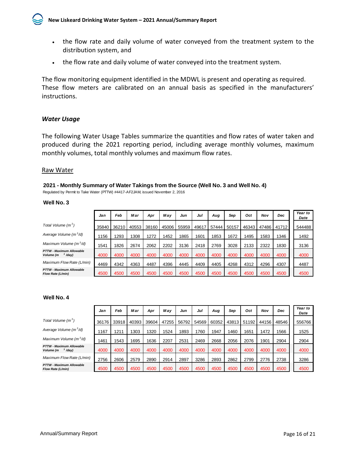

- the flow rate and daily volume of water conveyed from the treatment system to the distribution system, and
- the flow rate and daily volume of water conveyed into the treatment system.

The flow monitoring equipment identified in the MDWL is present and operating as required. These flow meters are calibrated on an annual basis as specified in the manufacturers' instructions.

#### *Water Usage*

The following Water Usage Tables summarize the quantities and flow rates of water taken and produced during the 2021 reporting period, including average monthly volumes, maximum monthly volumes, total monthly volumes and maximum flow rates.

#### Raw Water

#### **2021 - Monthly Summary of Water Takings from the Source (Well No. 3 and Well No. 4)**

Regulated by Permit to Take Water (PTTW) #4417-AF2JAM, issued November 2, 2016

#### **Well No. 3**

|                                                           | Jan   | Feb   | Mar   | Apr   | May   | Jun   | Jul   | Aug   | Sep   | Oct   | Nov   | Dec   | Year to<br>Date |
|-----------------------------------------------------------|-------|-------|-------|-------|-------|-------|-------|-------|-------|-------|-------|-------|-----------------|
| Total Volume $(m^3)$                                      | 35840 | 36210 | 40553 | 38160 | 45006 | 55959 | 49617 | 57444 | 50157 | 46343 | 47486 | 41712 | 544488          |
| Average Volume (m <sup>3</sup> /d)                        | 156   | 1293  | 308   | 1272  | 1452  | 1865  | 1601  | 1853  | 1672  | 1495  | 1583  | 1346  | 1492            |
| Maximum Volume $(m^3/d)$                                  | 1541  | 1826  | 2674  | 2062  | 2202  | 3136  | 2418  | 2769  | 3028  | 2133  | 2322  | 1830  | 3136            |
| <b>PTTW - Maximum Allowable</b><br>$3/day$ )<br>Volume (m | 4000  | 4000  | 4000  | 4000  | 4000  | 4000  | 4000  | 4000  | 4000  | 4000  | 4000  | 4000  | 4000            |
| Maximum Flow Rate (L/min)                                 | 4469  | 4342  | 4363  | 4487  | 4396  | 4445  | 4409  | 4405  | 4268  | 4312  | 4296  | 4307  | 4487            |
| <b>PTTW - Maximum Allowable</b><br>Flow Rate (L/min)      | 4500  | 4500  | 4500  | 4500  | 4500  | 4500  | 4500  | 4500  | 4500  | 4500  | 4500  | 4500  | 4500            |

#### **Well No. 4**

|                                                           | Jan   | Feb   | Mar   | Apr   | May   | Jun   | Jul   | Aug   | Sep   | Oct              | Nov   | <b>Dec</b> | Year to<br>Date |
|-----------------------------------------------------------|-------|-------|-------|-------|-------|-------|-------|-------|-------|------------------|-------|------------|-----------------|
| Total Volume $(m^3)$                                      | 36176 | 33918 | 40393 | 39604 | 47255 | 56792 | 54569 | 60352 | 43813 | 51192            | 44156 | 48546      | 556766          |
| Average Volume (m <sup>3</sup> /d)                        | 167   | 1211  | 303   | 1320  | 1524  | 1893  | 760   | 1947  | 460   | 1651             | 1472  | 1566       | 1525            |
| Maximum Volume $(m^3/d)$                                  | 1461  | 1543  | 1695  | 1636  | 2207  | 2531  | 2469  | 2668  | 2056  | 2076             | 1901  | 2904       | 2904            |
| <b>PTTW - Maximum Allowable</b><br>$3/day$ )<br>Volume (m | 4000  | 4000  | 4000  | 4000  | 4000  | 4000  | 4000  | 4000  | 4000  | 4000             | 4000  | 4000       | 4000            |
| Maximum Flow Rate (L/min)                                 | 2756  | 2606  | 2579  | 2890  | 2914  | 2897  | 3286  | 2893  | 2862  | 2799             | 2776  | 2738       | 3286            |
| <b>PTTW - Maximum Allowable</b><br>Flow Rate (L/min)      | 4500  | 4500  | 4500  | 4500  | 4500  | 4500  | 4500  | 4500  | 4500  | 450 <sub>C</sub> | 4500  | 4500       | 4500            |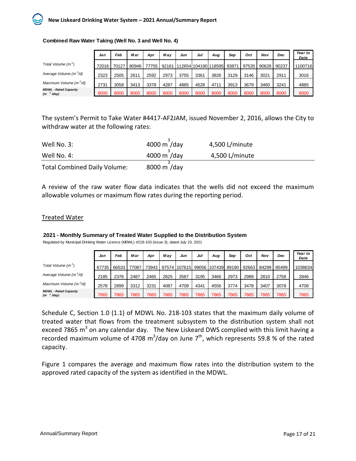

|                                                       | Jan   | Feb   | Mar   | Apr   | Mav   | Jun  | Jul  | Aug                          | Sep  | Oct   | Nov   | Dec   | Year to<br>Date |
|-------------------------------------------------------|-------|-------|-------|-------|-------|------|------|------------------------------|------|-------|-------|-------|-----------------|
| Total Volume (m <sup>3</sup> )                        | 72016 | 70127 | 80946 | 77755 | 92161 |      |      | 1112654110419011185951 93871 |      | 97535 | 90628 | 90237 | 1100716         |
| Average Volume (m <sup>3</sup> /d)                    | 2323  | 2505  | 2611  | 2592  | 2973  | 3755 | 3361 | 3826                         | 3129 | 3146  | 3021  | 2911  | 3016            |
| Maximum Volume (m <sup>3</sup> /d)                    | 2731  | 3058  | 3413  | 3378  | 4287  | 4885 | 4528 | 4711                         | 3913 | 3679  | 3460  | 3241  | 4885            |
| <b>MDWL - Rated Capacity</b><br>(m <sup>3</sup> /day) | 8000  | 8000  | 8000  | 8000  | 8000  | 8000 | 8000 | 8000                         | 8000 | 8000  | 8000  | 8000  | 8000            |

#### **Combined Raw Water Taking (Well No. 3 and Well No. 4)**

The system's Permit to Take Water #4417-AF2JAM, issued November 2, 2016, allows the City to withdraw water at the following rates:

| Well No. 3:                         | 4000 m /day | 4,500 L/minute |
|-------------------------------------|-------------|----------------|
| Well No. 4:                         | 4000 m /day | 4,500 L/minute |
| <b>Total Combined Daily Volume:</b> | 8000 m /day |                |

A review of the raw water flow data indicates that the wells did not exceed the maximum allowable volumes or maximum flow rates during the reporting period.

#### Treated Water

#### **2021 - Monthly Summary of Treated Water Supplied to the Distribution System**

Regulated by Municipal Drinking Water Licence (MDWL) #218-103 (issue 3), dated July 23, 2021

|                                                       | Jan   | Feb   | Mar   | Apr   | May  | Jun  | Jul  | Aug                       | Sep   | Oct   | Nov   | Dec   | Year to<br>Date |
|-------------------------------------------------------|-------|-------|-------|-------|------|------|------|---------------------------|-------|-------|-------|-------|-----------------|
| Total Volume (m <sup>3</sup> )                        | 67735 | 66533 | 77087 | 73943 |      |      |      | 87574 107615 99056 107439 | 89190 | 92663 | 84299 | 85499 | 1038634         |
| Average Volume (m <sup>3</sup> /d)                    | 2185  | 2376  | 2487  | 2465  | 2825 | 3587 | 3195 | 3466                      | 2973  | 2989  | 2810  | 2758  | 2846            |
| Maximum Volume (m <sup>3</sup> /d)                    | 2578  | 2899  | 3312  | 3231  | 4087 | 4708 | 4341 | 4556                      | 3774  | 3478  | 3407  | 3078  | 4708            |
| <b>MDWL - Rated Capacity</b><br>(m <sup>3</sup> /day) | 7865  | 7865  | 7865  | 7865  | 7865 | 7865 | 7865 | 7865                      | 7865  | 7865  | 7865  | 7865  | 7865            |

Schedule C, Section 1.0 (1.1) of MDWL No. 218-103 states that the maximum daily volume of treated water that flows from the treatment subsystem to the distribution system shall not exceed 7865  $m<sup>3</sup>$  on any calendar day. The New Liskeard DWS complied with this limit having a recorded maximum volume of 4708 m<sup>3</sup>/day on June 7<sup>th</sup>, which represents 59.8 % of the rated capacity.

Figure 1 compares the average and maximum flow rates into the distribution system to the approved rated capacity of the system as identified in the MDWL.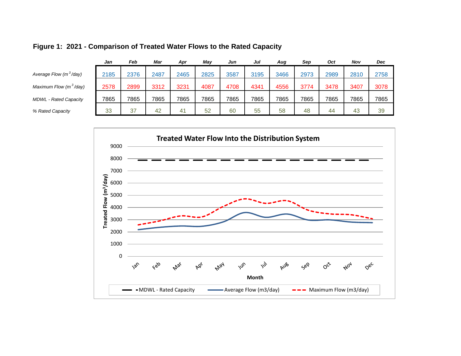|                                    | Jan  | Feb  | Mar  | Apr  | May  | Jun  | Jul  | Aug  | Sep  | <b>Oct</b> | Nov  | Dec  |
|------------------------------------|------|------|------|------|------|------|------|------|------|------------|------|------|
| Average Flow (m <sup>3</sup> /day) | 2185 | 2376 | 2487 | 2465 | 2825 | 3587 | 3195 | 3466 | 2973 | 2989       | 2810 | 2758 |
| Maximum Flow (m <sup>3</sup> /day) | 2578 | 2899 | 3312 | 3231 | 4087 | 4708 | 4341 | 4556 | 3774 | 3478       | 3407 | 3078 |
| <b>MDWL</b> - Rated Capacity       | 7865 | 7865 | 7865 | 7865 | 7865 | 7865 | 7865 | 7865 | 7865 | 7865       | 7865 | 7865 |
| % Rated Capacity                   | 33   | 37   | 42   | -41  | 52   | 60   | 55   | 58   | 48   | 44         | 43   | 39   |
|                                    |      |      |      |      |      |      |      |      |      |            |      |      |

# **Figure 1: 2021 - Comparison of Treated Water Flows to the Rated Capacity**

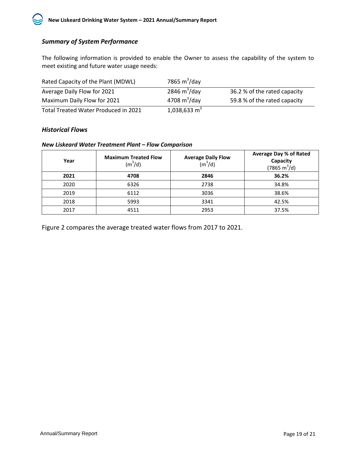# *Summary of System Performance*

The following information is provided to enable the Owner to assess the capability of the system to meet existing and future water usage needs:

| Rated Capacity of the Plant (MDWL)   | 7865 $m^3$ /day |                              |
|--------------------------------------|-----------------|------------------------------|
| Average Daily Flow for 2021          | 2846 $m^3$ /day | 36.2 % of the rated capacity |
| Maximum Daily Flow for 2021          | 4708 $m^3$ /day | 59.8 % of the rated capacity |
| Total Treated Water Produced in 2021 | 1,038,633 $m3$  |                              |

#### *Historical Flows*

#### *New Liskeard Water Treatment Plant – Flow Comparison*

| Year | <b>Maximum Treated Flow</b><br>$(m^3/d)$ | <b>Average Daily Flow</b><br>(m <sup>3</sup> /d) | <b>Average Day % of Rated</b><br>Capacity<br>$(7865 \text{ m}^3/\text{d})$ |
|------|------------------------------------------|--------------------------------------------------|----------------------------------------------------------------------------|
| 2021 | 4708                                     | 2846                                             | 36.2%                                                                      |
| 2020 | 6326                                     | 2738                                             | 34.8%                                                                      |
| 2019 | 6112                                     | 3036                                             | 38.6%                                                                      |
| 2018 | 5993                                     | 3341                                             | 42.5%                                                                      |
| 2017 | 4511                                     | 2953                                             | 37.5%                                                                      |

Figure 2 compares the average treated water flows from 2017 to 2021.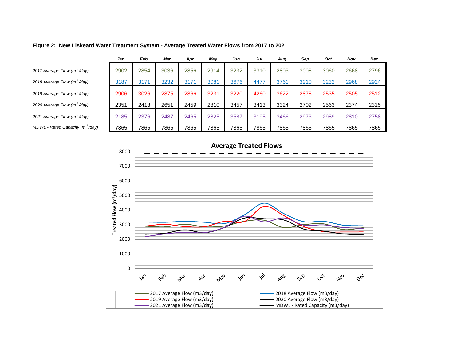#### **Figure 2: New Liskeard Water Treatment System - Average Treated Water Flows from 2017 to 2021**

|                                             | Jan  | Feb  | Mar  | Apr  | May  | Jun  | Jul  | Aug  | Sep  | Oct  | Nov  | <b>Dec</b> |
|---------------------------------------------|------|------|------|------|------|------|------|------|------|------|------|------------|
| 2017 Average Flow (m <sup>3</sup> /day)     | 2902 | 2854 | 3036 | 2856 | 2914 | 3232 | 3310 | 2803 | 3008 | 3060 | 2668 | 2796       |
| 2018 Average Flow (m <sup>3</sup> /day)     | 3187 | 3171 | 3232 | 3171 | 3081 | 3676 | 4477 | 3761 | 3210 | 3232 | 2968 | 2924       |
| 2019 Average Flow (m <sup>3</sup> /day)     | 2906 | 3026 | 2875 | 2866 | 3231 | 3220 | 4260 | 3622 | 2878 | 2535 | 2505 | 2512       |
| 2020 Average Flow (m <sup>3</sup> /day)     | 2351 | 2418 | 2651 | 2459 | 2810 | 3457 | 3413 | 3324 | 2702 | 2563 | 2374 | 2315       |
| 2021 Average Flow (m <sup>3</sup> /day)     | 2185 | 2376 | 2487 | 2465 | 2825 | 3587 | 3195 | 3466 | 2973 | 2989 | 2810 | 2758       |
|                                             |      |      |      |      |      |      |      |      |      |      |      |            |
| MDWL - Rated Capacity (m <sup>3</sup> /day) | 7865 | 7865 | 7865 | 7865 | 7865 | 7865 | 7865 | 7865 | 7865 | 7865 | 7865 | 7865       |

<span id="page-22-0"></span>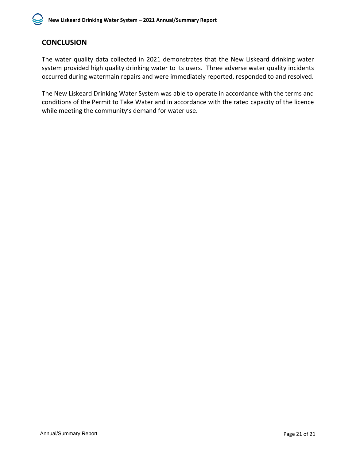# **CONCLUSION**

The water quality data collected in 2021 demonstrates that the New Liskeard drinking water system provided high quality drinking water to its users. Three adverse water quality incidents occurred during watermain repairs and were immediately reported, responded to and resolved.

The New Liskeard Drinking Water System was able to operate in accordance with the terms and conditions of the Permit to Take Water and in accordance with the rated capacity of the licence while meeting the community's demand for water use.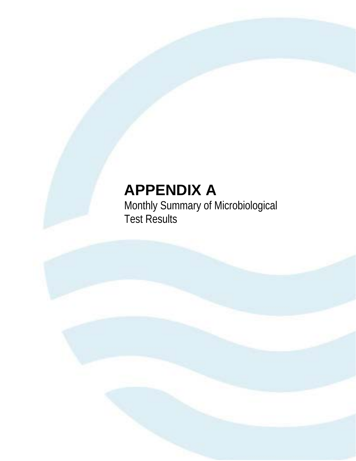# **APPENDIX A**

Monthly Summary of Microbiological Test Results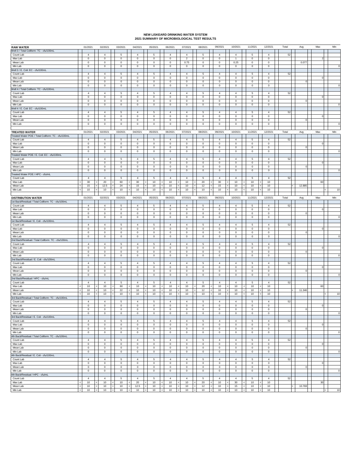# **NEW LISKEARD DRINKING WATER SYSTEM 2021 SUMMARY OF MICROBIOLOGICAL TEST RESULTS**

|                                                                            |                       |                               |              |                               |                          |                            |                                   |                            |                            |                               |                                                               | 09/2021                       | 10/2021                       | 11/2021                    | 12/2021                   | Total |             | Max                      | Min                 |
|----------------------------------------------------------------------------|-----------------------|-------------------------------|--------------|-------------------------------|--------------------------|----------------------------|-----------------------------------|----------------------------|----------------------------|-------------------------------|---------------------------------------------------------------|-------------------------------|-------------------------------|----------------------------|---------------------------|-------|-------------|--------------------------|---------------------|
| <b>RAW WATER</b>                                                           |                       | 01/2021                       |              | 02/2021                       |                          | 03/2021                    | 04/2021                           | 05/2021                    | 06/2021                    | 07/2021                       | 08/2021                                                       |                               |                               |                            |                           |       | Avg         |                          |                     |
| Well 3 / Total Coliform: TC - cfu/100mL<br>Count Lab                       |                       | $\overline{4}$                |              | $\overline{4}$                |                          | 5                          | $\overline{4}$                    | 5                          | $\overline{4}$             | $\overline{4}$                | 5                                                             | $\overline{4}$                | $\overline{4}$                | 5                          | $\overline{4}$            | 52    |             |                          |                     |
| Max Lab                                                                    |                       | $\mathbf 0$                   |              | $^{\circ}$                    |                          | 0                          | $\circ$                           | $\mathbf 0$                | $\mathbf 0$                | $\overline{2}$                | 0                                                             | $^{\circ}$                    | $\mathbf{1}$                  | $^{\circ}$                 | $\mathsf 0$               |       |             |                          |                     |
| Mean Lab                                                                   |                       | $\mathbf 0$                   |              | $\mathbf 0$                   |                          | $\mathsf 0$                | $\mathbf 0$                       | $\mathbf 0$                | $\mathbf 0$                | 0.75                          | 0                                                             | $\mathbb O$                   | 0.25                          | $\mathsf 0$                | $\mathbf 0$               |       | 0.077       |                          |                     |
| Min Lab                                                                    |                       | $\mathbf 0$                   |              | $\mathsf 0$                   |                          | 0                          | $\,0\,$                           | $\mathbf 0$                | $\mathbf 0$                | $\mathsf 0$                   | $\,0\,$                                                       | $\mathbf 0$                   | $\mathsf 0$                   | 0                          | $\circ$                   |       |             |                          |                     |
| Well 3 / E. Coli: EC - cfu/100mL                                           |                       |                               |              |                               |                          |                            |                                   |                            |                            |                               |                                                               |                               |                               |                            |                           |       |             |                          |                     |
| Count Lab                                                                  |                       | $\overline{4}$                |              | $\overline{4}$                |                          | 5                          | $\overline{4}$                    | 5                          | $\overline{4}$             | $\overline{4}$                | 5                                                             | $\overline{4}$                | $\overline{4}$                | 5                          | $\overline{4}$            | 52    |             |                          |                     |
| Max Lab                                                                    |                       | $\mathbf 0$                   |              | $\circ$                       |                          | $^{\circ}$                 | $\mathbf 0$                       | $\mathbf 0$                | $\mathbf 0$                | $\,0\,$                       | $\,0\,$                                                       | $^{\circ}$                    | $\mathbf 0$                   | $\mathsf 0$                | $\overline{0}$            |       |             |                          |                     |
| Mean Lab                                                                   |                       | $\mathbf 0$                   |              | 0                             |                          | $\mathbf 0$                | $\,0\,$                           | $\mathbf 0$                | $\mathbf 0$                | $\,0\,$                       | $\,0\,$                                                       | $\mathbf 0$                   | $\mathbf 0$                   | $\mathbf 0$                | $\,0\,$                   |       | $\Omega$    |                          |                     |
| Min Lab                                                                    |                       | $\mathbf 0$                   |              | $\mathsf 0$                   |                          | $\mathsf 0$                | $\,0\,$                           | $\mathbf 0$                | $\mathbf 0$                | $\mathsf 0$                   | $\,0\,$                                                       | $\mathbf 0$                   | $\mathsf 0$                   | $\mathsf 0$                | $\mathsf 0$               |       |             |                          |                     |
| Well 4 / Total Coliform: TC - cfu/100mL                                    |                       |                               |              |                               |                          |                            |                                   |                            |                            |                               |                                                               |                               |                               |                            |                           |       |             |                          |                     |
| Count Lab                                                                  |                       | $\overline{4}$                |              | $\overline{4}$                |                          | 5                          | $\overline{4}$                    | 5                          | $\overline{4}$             | $\overline{4}$                | $\overline{5}$                                                | $\overline{4}$                | $\overline{4}$                | 5                          | $\overline{4}$            | 52    |             |                          |                     |
| Max Lab                                                                    |                       | $\mathbf 0$                   |              | $\circ$                       |                          | 0                          | $^{\circ}$                        | $\mathbf 0$                | $\mathbf 0$                | $\circ$                       | $\,0\,$                                                       | $^{\circ}$                    | 0                             | $\circ$                    | $\mathbf 0$               |       |             | $\Omega$                 |                     |
| Mean Lab                                                                   |                       | $\mathbf 0$                   |              | $\mathbf 0$                   |                          | $\mathsf 0$                | $\mathbf 0$                       | $\mathbf 0$                | $\mathbf 0$                | $\mathbf 0$                   | 0                                                             | $\mathbf 0$                   | $\mathbf 0$                   | $\bf{0}$                   | $\mathbf 0$               |       | $\Omega$    |                          |                     |
| Min Lab                                                                    |                       | $\mathbb O$                   |              | $\mathbf 0$                   |                          | 0                          | $\,0\,$                           | $\mathbf 0$                | $\mathbf 0$                | $\mathbf 0$                   | $\,0\,$                                                       | $\mathbb O$                   | $\mathbf 0$                   | $\mathbf 0$                | $\circ$                   |       |             |                          |                     |
| Well 4 / E. Coli: EC - cfu/100mL                                           |                       |                               |              |                               |                          |                            |                                   |                            |                            |                               |                                                               |                               |                               |                            |                           |       |             |                          |                     |
| Count Lab                                                                  |                       | $\overline{4}$                |              | $\overline{4}$                |                          | 5                          | 4                                 | 5                          | $\overline{4}$             | $\overline{4}$                | $\overline{5}$                                                | $\overline{4}$                | $\overline{4}$                | 5                          | 4                         | 52    |             |                          |                     |
| Max Lab                                                                    |                       | $\mathbf 0$                   |              | $^{\circ}$                    |                          | 0                          | $\mathbf 0$                       | $\mathbf 0$                | $\mathbf 0$                | $\mathsf 0$                   | $\,0\,$                                                       | $^{\circ}$                    | $\mathbf 0$                   | 0                          | $\mathbf 0$               |       |             |                          |                     |
| Mean Lab<br>Min Lab                                                        |                       | $\mathbf 0$<br>$\mathbf 0$    |              | $\mathbf 0$<br>$\mathsf 0$    |                          | $\mathbf 0$<br>$\mathsf 0$ | $\,0\,$<br>$\,0\,$                | $\mathbf 0$<br>$\mathbf 0$ | $\mathbf 0$<br>$\mathbf 0$ | $\,0\,$<br>$\,0\,$            | $\,0\,$<br>$\,0\,$                                            | $\mathbf 0$<br>$\mathbb O$    | $\mathbf 0$<br>$\mathsf 0$    | $\mathbf 0$<br>$\mathsf 0$ | $\,0\,$<br>$\mathsf 0$    |       | $\mathbf 0$ |                          | $\Omega$            |
|                                                                            |                       |                               |              |                               |                          |                            |                                   |                            |                            |                               |                                                               |                               |                               |                            |                           |       |             |                          |                     |
|                                                                            |                       |                               |              |                               |                          |                            |                                   |                            |                            |                               |                                                               | 09/2021                       | 10/2021                       | 11/2021                    | 12/2021                   | Total |             | Max                      | Min                 |
| <b>TREATED WATER</b><br>Treated Water POE / Total Coliform: TC - cfu/100mL |                       | 01/2021                       |              | 02/2021                       |                          | 03/2021                    | 04/2021                           | 05/2021                    | 06/2021                    | 07/2021                       | 08/2021                                                       |                               |                               |                            |                           |       | Avg         |                          |                     |
| Count Lab                                                                  |                       | $\overline{4}$                |              | $\overline{4}$                |                          | 5                          | $\overline{4}$                    | $\overline{5}$             | $\overline{4}$             | $\overline{4}$                | 5                                                             | $\overline{4}$                | $\overline{4}$                | $\sqrt{5}$                 | $\overline{4}$            | 52    |             |                          |                     |
| Max Lab                                                                    |                       | $\mathbf 0$                   |              | 0                             |                          | $\mathsf 0$                | $\,0\,$                           | $\mathbf 0$                | $\mathbf 0$                | $\mathbf 0$                   | $\,0\,$                                                       | $\mathbf 0$                   | $\mathbf 0$                   | $\mathbf 0$                | $\mathbf 0$               |       |             | $\circ$                  |                     |
| Mean Lab                                                                   |                       | $\mathbb O$                   |              | $\mathsf 0$                   |                          | 0                          | $\,0\,$                           | $\mathbb O$                | $\mathbf 0$                | $\mathsf 0$                   | $\,0\,$                                                       | $\mathbf 0$                   | $\mathbf 0$                   | 0                          | $\mathsf 0$               |       | 0           |                          |                     |
| Min Lab                                                                    |                       | $\bf{0}$                      |              | $\mathbf 0$                   |                          | 0                          | $\overline{0}$                    | $\circ$                    | $\,0\,$                    | $\mathbf 0$                   | $\mathbf 0$                                                   | $\bf{0}$                      | $\mathbf 0$                   | 0                          | $\overline{0}$            |       |             |                          |                     |
| Treated Water POE / E. Coli: EC - cfu/100mL                                |                       |                               |              |                               |                          |                            |                                   |                            |                            |                               |                                                               |                               |                               |                            |                           |       |             |                          |                     |
| Count Lab                                                                  |                       | $\overline{4}$                |              | $\overline{4}$                |                          | 5                          | $\overline{4}$                    | $\sqrt{5}$                 | $\overline{4}$             | $\overline{4}$                | $\overline{5}$                                                | $\overline{4}$                | $\overline{4}$                | $\mathbf 5$                | $\overline{4}$            | 52    |             |                          |                     |
| Max Lab                                                                    |                       | $\mathbf 0$                   |              | $\mathbf 0$                   |                          | $\mathbf 0$                | $\mathbf 0$                       | $\mathbf 0$                | $\mathbf 0$                | $\,0\,$                       | $\,0\,$                                                       | $\mathbf 0$                   | $\mathbf 0$                   | $\mathbf 0$                | $\mathbf 0$               |       |             |                          |                     |
| Mean Lab                                                                   |                       | $\mathbb O$                   |              | $\mathsf 0$                   |                          | $\mathsf 0$                | $\mathsf 0$                       | 0                          | $\mathbb O$                | $\,0\,$                       | $\,0\,$                                                       | $\mathbb O$                   | $\mathbf 0$                   | $\mathsf 0$                | $\mathsf 0$               |       | $\Omega$    |                          |                     |
| Min Lab                                                                    |                       | $\bf{0}$                      |              | $\mathbf 0$                   |                          | 0                          | 0                                 | $\mathbf 0$                | $\,0\,$                    | 0                             | $\mathbf 0$                                                   | $\bf{0}$                      | $\mathbf 0$                   | 0                          | $\mathbf 0$               |       |             |                          | $\Omega$            |
| Treated Water POE / HPC - cfu/mL                                           |                       |                               |              |                               |                          |                            |                                   |                            |                            |                               |                                                               |                               |                               |                            |                           |       |             |                          |                     |
| Count Lab                                                                  |                       | $\overline{4}$                |              | $\overline{4}$                |                          | 5                          | $\overline{4}$                    | 5                          | $\overline{4}$             | $\overline{4}$                | 5                                                             | $\overline{4}$                | $\overline{4}$                | $\overline{5}$             | $\overline{4}$            | 52    |             |                          |                     |
| Max Lab                                                                    | k                     | $30\,$                        |              | 20                            |                          | 60                         | 30                                | 10                         | 10                         | 10                            | 20<br>$\prec$                                                 | 30                            | 10                            | 10                         | 10                        |       |             | 60                       |                     |
| Mean Lab                                                                   |                       | 15                            | 4            | 12.5                          | $\overline{\phantom{a}}$ | 24                         | 15                                | 10                         | 10                         | 10<br>$\,<$                   | 12<br>k                                                       | 15<br>k                       | 10                            | 10                         | 10                        |       | 12.885      |                          |                     |
| Min Lab                                                                    | $\leq$                | 10                            | $\prec$      | 10                            | k                        | 10                         | 10                                | $10$                       | 10                         | 10<br>$\prec$                 | 10<br>$\epsilon$                                              | 10<br>$\leq$                  | $10$                          | 10                         | $10$                      |       |             | $\overline{\phantom{a}}$ | 10                  |
|                                                                            |                       |                               |              |                               |                          |                            |                                   |                            |                            |                               |                                                               |                               |                               |                            |                           |       |             |                          |                     |
| <b>DISTRIBUTION WATER</b>                                                  |                       | 01/2021                       |              | 02/2021                       |                          | 03/2021                    | 04/2021                           | 05/2021                    | 06/2021                    | 07/2021                       | 08/2021                                                       | 09/2021                       | 10/2021                       | 11/2021                    | 12/2021                   | Total | Avg         | Max                      | Min                 |
| 1st Bacti/Residual / Total Coliform: TC - cfu/100mL                        |                       |                               |              |                               |                          |                            |                                   |                            |                            |                               |                                                               |                               |                               |                            |                           |       |             |                          |                     |
| Count Lab<br>Max Lab                                                       |                       | $\overline{4}$<br>$\mathbf 0$ |              | $\overline{4}$<br>$\mathbf 0$ |                          | 5<br>0                     | $\overline{4}$<br>$\,0\,$         | 5<br>$\mathbf 0$           | $\sqrt{4}$<br>$\mathbb O$  | $\overline{4}$<br>$\mathsf 0$ | 5<br>$\,0\,$                                                  | $\overline{4}$<br>$\mathbf 0$ | $\overline{4}$<br>$\mathbf 0$ | 5<br>0                     | $\overline{4}$<br>$\circ$ | 52    |             | $\mathbf 0$              |                     |
| Mean Lab                                                                   |                       | 0                             |              | $\,0\,$                       |                          | $\mathsf 0$                | $\,0\,$                           | $\mathbf 0$                | $\,0\,$                    | $\mathbf 0$                   | 0                                                             | 0                             | 0                             | $\mathbf 0$                | $\mathbf 0$               |       | $\Omega$    |                          |                     |
| Min Lab                                                                    |                       | $\mathbf 0$                   |              | $\mathbf 0$                   |                          | $\mathsf 0$                | $\mathbf 0$                       | $\mathbf 0$                | $\mathbf 0$                | $\mathbf 0$                   | $\,0\,$                                                       | $\mathbf 0$                   | $\mathbf 0$                   | $\mathbf 0$                | $\mathbf 0$               |       |             |                          |                     |
| 1st Bacti/Residual / E. Coli - cfu/100mL                                   |                       |                               |              |                               |                          |                            |                                   |                            |                            |                               |                                                               |                               |                               |                            |                           |       |             |                          |                     |
| Count Lab                                                                  |                       | $\overline{4}$                |              | $\overline{4}$                |                          | 5                          | $\overline{4}$                    | $\sqrt{5}$                 | $\overline{4}$             | $\overline{4}$                | 5                                                             | $\overline{4}$                | $\overline{4}$                | 5                          | $\overline{4}$            | 52    |             |                          |                     |
| Max Lab                                                                    |                       | $\mathbf 0$                   |              | $\mathsf 0$                   |                          | $\mathsf 0$                | $\mathbf 0$                       | $\mathbf 0$                | $\mathbf 0$                | $\mathsf 0$                   | $\,0\,$                                                       | $\mathbf 0$                   | $\mathsf 0$                   | $\mathsf 0$                | $\,0\,$                   |       |             |                          |                     |
| Mean Lab                                                                   |                       | 0                             |              | $\,0\,$                       |                          | 0                          | $\overline{0}$                    | $\mathbf 0$                | $\mathbf 0$                | $\,0\,$                       | 0                                                             | $\bf{0}$                      | 0                             | 0                          | $\mathbf 0$               |       | $\Omega$    |                          |                     |
| Min Lab                                                                    |                       | $\mathbb O$                   |              | $\mathbf 0$                   |                          | $\mathsf 0$                | $\mathbf 0$                       | $\mathbb O$                | $\mathbf 0$                | $\,0\,$                       | $\mathbf 0$                                                   | $\mathbb O$                   | $\mathbf 0$                   | $\,0\,$                    | $\circ$                   |       |             |                          |                     |
| 2nd Bacti/Residual / Total Coliform: TC - cfu/100mL                        |                       |                               |              |                               |                          |                            |                                   |                            |                            |                               |                                                               |                               |                               |                            |                           |       |             |                          |                     |
| Count Lab                                                                  |                       | $\overline{4}$                |              | $\overline{4}$                |                          | 5                          | $\sqrt{4}$                        | 5                          | $\overline{4}$             | $\overline{4}$                | 5                                                             | $\overline{4}$                | $\overline{4}$                | 5                          | $\overline{4}$            | 52    |             |                          |                     |
| Max Lab                                                                    |                       | $\mathbf 0$                   |              | $\mathsf 0$                   |                          | $\mathsf 0$                | $\mathbf 0$                       | $\mathbf 0$                | $\mathbf 0$                | $\mathsf 0$                   | $\,0\,$                                                       | $\mathbf 0$                   | $\mathbf 0$                   | $\mathbf 0$                | $\,0\,$                   |       |             | $\mathbf 0$              |                     |
| Mean Lab                                                                   |                       | 0                             |              | $\mathbf 0$                   |                          | $\mathsf 0$                | $\,0\,$                           | $\mathbf 0$                | $\mathbf 0$                | $\mathbf 0$                   | 0                                                             | 0                             | 0                             | $\mathbf 0$                | $\mathbf 0$               |       | $\Omega$    |                          |                     |
| Min Lab                                                                    |                       | $\mathbb O$                   |              | $\mathsf 0$                   |                          | 0                          | $\circ$                           | $\mathbb O$                | $\mathbb O$                | $\mathsf 0$                   |                                                               | $\mathbb O$                   |                               |                            |                           |       |             |                          | $\Omega$            |
| 2nd Bacti/Residual / E. Coli - cfu/100mL                                   |                       |                               |              |                               |                          |                            |                                   |                            |                            |                               | $\,0\,$                                                       |                               | $\mathbf 0$                   | $\mathbf 0$                | $\mathbf 0$               |       |             |                          |                     |
| Count Lab                                                                  |                       |                               |              |                               |                          |                            |                                   |                            |                            |                               |                                                               |                               |                               |                            |                           |       |             |                          |                     |
| Max Lab                                                                    |                       | $\overline{4}$                |              | $\overline{4}$                |                          | 5                          | $\overline{4}$                    | $\sqrt{5}$                 | $\overline{4}$             | $\overline{4}$                | 5                                                             | $\overline{4}$                | $\overline{4}$                | 5                          | $\overline{4}$            | 52    |             |                          |                     |
| Mean Lab                                                                   |                       | $\mathbf 0$                   |              | $\mathsf 0$                   |                          | 0                          | $\mathsf 0$                       | $\mathbb O$                | $\mathbf 0$                | $\mathsf 0$                   | $\,0\,$                                                       | $\mathbf 0$                   | $\mathsf 0$                   | 0                          | $\,0\,$                   |       |             |                          |                     |
|                                                                            |                       | 0                             |              | $\mathbf 0$                   |                          | 0                          | $\,0\,$                           | 0                          | $\mathbf 0$                | $\,0\,$                       | $\mathbf 0$                                                   | 0                             | 0                             | 0                          | $\mathbf 0$               |       | $\Omega$    |                          |                     |
| Min Lab                                                                    |                       | $\mathbb O$                   |              | $\mathbf 0$                   |                          | $\mathsf 0$                | $\,0\,$                           | $\mathbb O$                | $\mathbf 0$                | $\,0\,$                       | $\,0\,$                                                       | $\mathbb O$                   | $\mathbf 0$                   | $\,0\,$                    | $\mathbf 0$               |       |             |                          |                     |
| 2nd Bacti/Residual / HPC - cfu/mL                                          |                       |                               |              |                               |                          |                            |                                   |                            |                            |                               |                                                               |                               |                               |                            |                           |       |             |                          |                     |
| Count Lab                                                                  | ٠.                    | $\overline{4}$                |              | $\overline{4}$                |                          | 5                          | $\overline{4}$                    | 5                          | $\overline{4}$             | $\overline{4}$                | 5                                                             | $\overline{4}$                | $\overline{4}$                | 5                          | $\overline{4}$            | 52    |             |                          |                     |
| Max Lab                                                                    | k                     | 10                            |              | 10                            | k                        | 60                         | 10                                | 10                         | 10                         | 10                            | 20<br>z                                                       | 10<br>ż                       | 10                            | 10                         | 10                        |       |             | 60                       |                     |
| Mean Lab<br>Min Lab                                                        |                       | 10                            |              | 10                            |                          | 22                         | 10<br>10                          | 10                         | 10<br>10                   | 10<br>10                      | 12<br>10                                                      | 10                            | 10                            | 10                         | 10<br>10                  |       | 11.346      |                          |                     |
| 3rd Bacti/Residual / Total Coliform: TC - cfu/100mL                        |                       | 10                            |              | 10                            |                          | $10$                       |                                   | 10                         |                            |                               |                                                               | 10                            | 10                            | 10                         |                           |       |             | $\overline{\phantom{a}}$ | 10                  |
| Count Lab                                                                  |                       | $\overline{4}$                |              | $\overline{4}$                |                          | 5                          | 4                                 | $\overline{5}$             | $\overline{4}$             | $\overline{4}$                | 5                                                             | $\overline{4}$                | $\overline{4}$                | 5                          | 4                         | 52    |             |                          |                     |
| Max Lab                                                                    |                       | $\mathbb O$                   |              | $\mathsf 0$                   |                          | 0                          | $\mathbf 0$                       | $\mathbf 0$                | $\mathbf 0$                | $\mathsf 0$                   | $\,0\,$                                                       | $\mathbf 0$                   | $\mathsf 0$                   | $\mathbf 0$                | $\,0\,$                   |       |             | $\circ$                  |                     |
| Mean Lab                                                                   |                       | 0                             |              | $\,0\,$                       |                          | 0                          | $\mathbf 0$                       | $\mathbf 0$                | $\mathbf 0$                | $\,0\,$                       | $\bf{0}$                                                      | 0                             | $\mathbf 0$                   | $\mathbf 0$                | $\mathbf 0$               |       | $\mathbf 0$ |                          |                     |
| Min Lab                                                                    |                       | $\mathbf 0$                   |              | $\mathbf 0$                   |                          | $\mathsf 0$                | $\mathbf 0$                       | $\mathbf 0$                | $\mathbf 0$                | $\,0\,$                       | $\,0\,$                                                       | $\mathbb O$                   | $\mathbf 0$                   | $\mathsf 0$                | $\mathbf 0$               |       |             |                          | $\mathsf{o}\xspace$ |
| 3rd Bacti/Residual / E. Coli - cfu/100mL                                   |                       |                               |              |                               |                          |                            |                                   |                            |                            |                               |                                                               |                               |                               |                            |                           |       |             |                          |                     |
| Count Lab                                                                  |                       | $\overline{4}$                |              | $\overline{4}$                |                          | 5                          | $\overline{4}$                    | $\overline{5}$             | $\overline{4}$             | $\overline{4}$                | 5                                                             | $\overline{4}$                | $\overline{4}$                | $\overline{5}$             | $\overline{4}$            | 52    |             |                          |                     |
| Max Lab                                                                    |                       | $\mathbf 0$                   |              | $\mathbb O$                   |                          | $\mathbf 0$                | $\bf{0}$                          | $\mathbf 0$                | $\,0\,$                    | 0                             | $\bf{0}$                                                      | $\mathbf 0$                   | $\mathbf 0$                   | $\bf{0}$                   | $\mathbf 0$               |       |             | $\mathbf 0$              |                     |
| Mean Lab                                                                   |                       | $\bf{0}$                      |              | $\overline{0}$                |                          | $\mathbf 0$                | $\overline{0}$                    | $\mathbf{0}$               | $\mathbf 0$                | $\mathbf 0$                   | 0                                                             | $\mathbf 0$                   | $\mathbf 0$                   | $\bf{0}$                   | $\mathbf 0$               |       | $\mathbf 0$ |                          |                     |
| Min Lab                                                                    |                       | $\mathbf 0$                   |              | $\mathbf 0$                   |                          | $\mathsf 0$                | $\mathbf 0$                       | $\mathbf 0$                | $\mathbf 0$                | $\mathbf 0$                   | $\,0\,$                                                       | $\mathbf 0$                   | $\mathbf 0$                   | $\mathbf 0$                | $\mathsf 0$               |       |             |                          | $\mathbf 0$         |
| 4th Bacti/Residual / Total Coliform: TC - cfu/100mL                        |                       |                               |              |                               |                          |                            |                                   |                            |                            |                               |                                                               |                               |                               |                            |                           |       |             |                          |                     |
| Count Lab                                                                  |                       | $\overline{4}$                |              | $\overline{4}$                |                          | 5                          | $\overline{4}$                    | $\overline{5}$             | $\overline{4}$             | $\overline{4}$                | $\overline{5}$                                                | $\overline{4}$                | $\overline{4}$                | 5                          | $\overline{4}$            | 52    |             |                          |                     |
| Max Lab                                                                    |                       | $\pmb{0}$                     |              | $\mathsf{o}\,$                |                          | $\mathbf 0$                | $\,$ 0                            | $\mathbf 0$                | $\mathbf 0$                | $\,0\,$                       | $\,0\,$                                                       | $\mathbf 0$                   | $\mathbf 0$                   | $\mathbf 0$                | $\mathsf 0$               |       |             | $\circ$                  |                     |
| Mean Lab                                                                   |                       | $\bf{0}$                      |              | $\mathbf 0$                   |                          | $\,0\,$                    | $\mathbf 0$                       | $\mathbf 0$                | $\,$ 0                     | $\,0\,$                       | $\bf{0}$                                                      | $\bf{0}$                      | $\mathbf 0$                   | $\mathbf 0$                | $\mathbf 0$               |       | $\mathbf 0$ |                          |                     |
| Min Lab<br>4th Bacti/Residual / E. Coli - cfu/100mL                        |                       | $\mathbf 0$                   |              | $\mathbf 0$                   |                          | $\,0\,$                    | $\mathbf 0$                       | $\mathbf 0$                | $\mathbf 0$                | $\,0\,$                       | $\,0\,$                                                       | $\mathbf 0$                   | $\mathbf 0$                   | $\,0\,$                    | $\mathsf 0$               |       |             |                          |                     |
| Count Lab                                                                  |                       | $\overline{4}$                |              | $\overline{4}$                |                          | 5                          | $\overline{4}$                    | $\overline{5}$             | $\overline{4}$             | $\overline{4}$                | 5                                                             | $\overline{4}$                | $\overline{4}$                | 5                          | $\overline{4}$            | 52    |             |                          | $\mathsf{o}\xspace$ |
| Max Lab                                                                    |                       | $\mathbf 0$                   |              | $\mathbb O$                   |                          | $\mathbf 0$                | $\mathbf 0$                       | $\mathbf 0$                | $\,0\,$                    | 0                             | $\mathbf 0$                                                   | $\mathbf 0$                   | $\mathbf 0$                   | 0                          | $\mathbb O$               |       |             | $\mathbf 0$              |                     |
| Mean Lab                                                                   |                       | $\bf{0}$                      |              | $\mathbf 0$                   |                          | 0                          | $\circ$                           | $\mathbf 0$                | $\overline{\mathbf{0}}$    | $\mathbf 0$                   | $\mathbf 0$                                                   | $\mathbf 0$                   | $\mathbf 0$                   | $\bf{0}$                   | $\bf{0}$                  |       | $\mathbf 0$ |                          |                     |
| Min Lab                                                                    |                       | $\mathbf 0$                   |              | $\mathbf 0$                   |                          | $\mathsf 0$                | $\mathbf 0$                       | $\mathbf 0$                | $\mathbf 0$                | $\mathbf 0$                   | $\,0\,$                                                       | $\mathbb O$                   | $\mathbf 0$                   | $\mathbf 0$                | $\mathbf 0$               |       |             |                          |                     |
| 4th Bacti/Residual / HPC - cfu/mL                                          |                       |                               |              |                               |                          |                            |                                   |                            |                            |                               |                                                               |                               |                               |                            |                           |       |             |                          |                     |
| Count Lab                                                                  |                       | $\overline{4}$                |              | $\overline{4}$                |                          | 5                          | $\overline{4}$                    | $\overline{5}$             | $\overline{4}$             | $\overline{4}$                | $\overline{5}$                                                | $\overline{4}$                | $\overline{4}$                | $\overline{5}$             | $\overline{4}$            | 52    |             |                          | $\circ$             |
| Max Lab                                                                    | $\epsilon$            | $10\,$                        |              | $10\,$                        | ć                        | $10\,$                     | $20\,$                            | $10\,$                     | $10\,$                     | 10                            | ${\bf 20}$<br>$\prec$<br>k                                    | $\overline{10}$               | $30\,$                        | $10$                       | $10$                      |       |             | $30\,$                   |                     |
| Mean Lab<br>Min Lab                                                        | $\epsilon$<br>$\prec$ | 10<br>10                      | ć<br>$\prec$ | 10<br>10                      | $\,<$<br>$\leq$          | $10$<br>10<br>$\leq$       | 12.5<br>$\epsilon$<br>10<br>$\,<$ | 10<br>10                   | 10<br>10<br>$\,<$          | 10<br>$\,<$<br>$\leq$<br>10   | 12<br>$\leq$<br>$\,<$<br>$\vert$ < $\vert$<br>10<br>$\vert$ < | 10<br>k<br>10<br>$\prec$      | 15<br>10                      | 10<br>10<br>$\leq$         | $10$<br>10<br>$\prec$     |       | 10.769      | $\vert$ < $\vert$        | 10                  |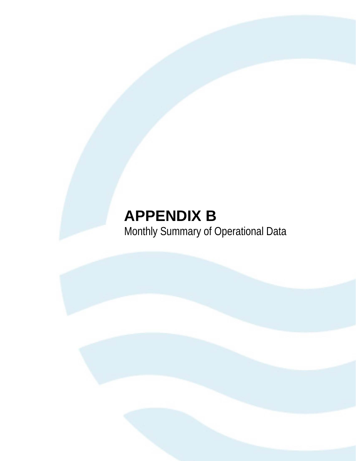# **APPENDIX B** Monthly Summary of Operational Data